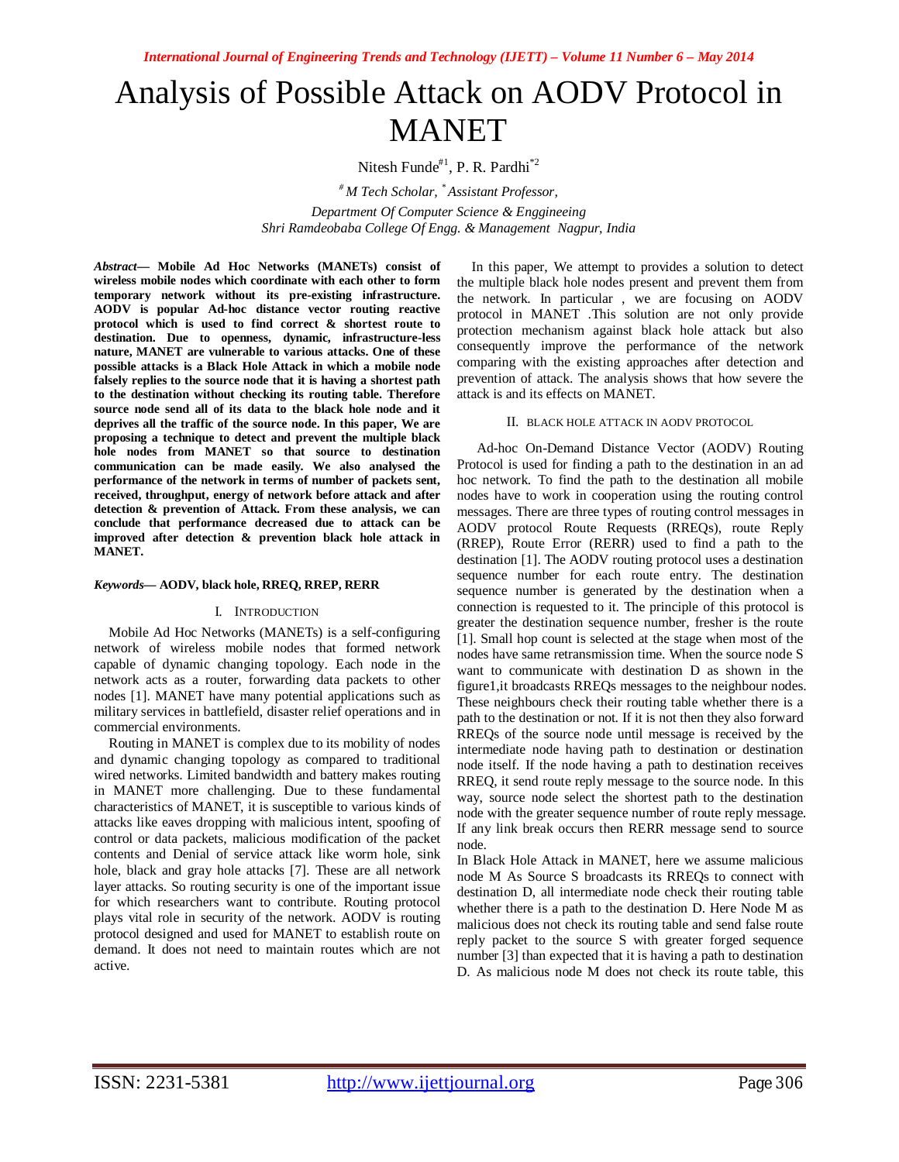# Analysis of Possible Attack on AODV Protocol in MANET

Nitesh Funde $#^1$ , P. R. Pardhi<sup>\*2</sup>

*# M Tech Scholar, \* Assistant Professor, Department Of Computer Science & Enggineeing Shri Ramdeobaba College Of Engg. & Management Nagpur, India*

*Abstract***— Mobile Ad Hoc Networks (MANETs) consist of wireless mobile nodes which coordinate with each other to form temporary network without its pre-existing infrastructure. AODV is popular Ad-hoc distance vector routing reactive protocol which is used to find correct & shortest route to destination. Due to openness, dynamic, infrastructure-less nature, MANET are vulnerable to various attacks. One of these possible attacks is a Black Hole Attack in which a mobile node falsely replies to the source node that it is having a shortest path to the destination without checking its routing table. Therefore source node send all of its data to the black hole node and it deprives all the traffic of the source node. In this paper, We are proposing a technique to detect and prevent the multiple black hole nodes from MANET so that source to destination communication can be made easily. We also analysed the performance of the network in terms of number of packets sent, received, throughput, energy of network before attack and after detection & prevention of Attack. From these analysis, we can conclude that performance decreased due to attack can be improved after detection & prevention black hole attack in MANET.**

## *Keywords***— AODV, black hole, RREQ, RREP, RERR**

## I. INTRODUCTION

Mobile Ad Hoc Networks (MANETs) is a self-configuring network of wireless mobile nodes that formed network capable of dynamic changing topology. Each node in the network acts as a router, forwarding data packets to other nodes [1]. MANET have many potential applications such as military services in battlefield, disaster relief operations and in commercial environments.

Routing in MANET is complex due to its mobility of nodes and dynamic changing topology as compared to traditional wired networks. Limited bandwidth and battery makes routing in MANET more challenging. Due to these fundamental characteristics of MANET, it is susceptible to various kinds of attacks like eaves dropping with malicious intent, spoofing of control or data packets, malicious modification of the packet contents and Denial of service attack like worm hole, sink hole, black and gray hole attacks [7]. These are all network layer attacks. So routing security is one of the important issue for which researchers want to contribute. Routing protocol plays vital role in security of the network. AODV is routing protocol designed and used for MANET to establish route on demand. It does not need to maintain routes which are not active.

In this paper, We attempt to provides a solution to detect the multiple black hole nodes present and prevent them from the network. In particular , we are focusing on AODV protocol in MANET .This solution are not only provide protection mechanism against black hole attack but also consequently improve the performance of the network comparing with the existing approaches after detection and prevention of attack. The analysis shows that how severe the attack is and its effects on MANET.

## II. BLACK HOLE ATTACK IN AODV PROTOCOL

Ad-hoc On-Demand Distance Vector (AODV) Routing Protocol is used for finding a path to the destination in an ad hoc network. To find the path to the destination all mobile nodes have to work in cooperation using the routing control messages. There are three types of routing control messages in AODV protocol Route Requests (RREQs), route Reply (RREP), Route Error (RERR) used to find a path to the destination [1]. The AODV routing protocol uses a destination sequence number for each route entry. The destination sequence number is generated by the destination when a connection is requested to it. The principle of this protocol is greater the destination sequence number, fresher is the route [1]. Small hop count is selected at the stage when most of the nodes have same retransmission time. When the source node S want to communicate with destination D as shown in the figure1,it broadcasts RREQs messages to the neighbour nodes. These neighbours check their routing table whether there is a path to the destination or not. If it is not then they also forward RREQs of the source node until message is received by the intermediate node having path to destination or destination node itself. If the node having a path to destination receives RREQ, it send route reply message to the source node. In this way, source node select the shortest path to the destination node with the greater sequence number of route reply message. If any link break occurs then RERR message send to source node.

In Black Hole Attack in MANET, here we assume malicious node M As Source S broadcasts its RREQs to connect with destination D, all intermediate node check their routing table whether there is a path to the destination D. Here Node M as malicious does not check its routing table and send false route reply packet to the source S with greater forged sequence number [3] than expected that it is having a path to destination D. As malicious node M does not check its route table, this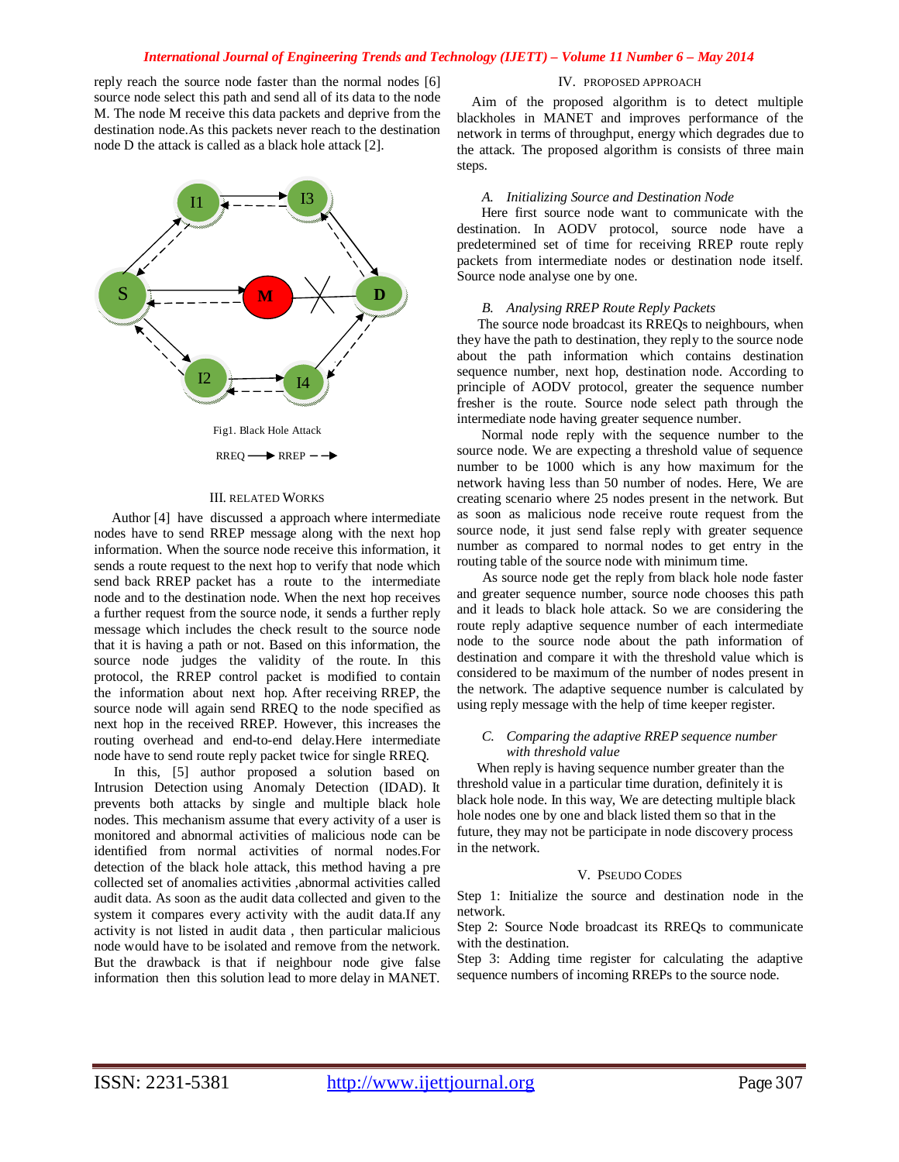# *International Journal of Engineering Trends and Technology (IJETT) – Volume 11 Number 6 – May 2014*

reply reach the source node faster than the normal nodes [6] source node select this path and send all of its data to the node M. The node M receive this data packets and deprive from the destination node.As this packets never reach to the destination node D the attack is called as a black hole attack [2].



## III. RELATED WORKS

 Author [4] have discussed a approach where intermediate nodes have to send RREP message along with the next hop information. When the source node receive this information, it sends a route request to the next hop to verify that node which send back RREP packet has a route to the intermediate node and to the destination node. When the next hop receives a further request from the source node, it sends a further reply message which includes the check result to the source node that it is having a path or not. Based on this information, the source node judges the validity of the route. In this protocol, the RREP control packet is modified to contain the information about next hop. After receiving RREP, the source node will again send RREQ to the node specified as next hop in the received RREP. However, this increases the routing overhead and end-to-end delay.Here intermediate node have to send route reply packet twice for single RREQ.

In this, [5] author proposed a solution based on Intrusion Detection using Anomaly Detection (IDAD). It prevents both attacks by single and multiple black hole nodes. This mechanism assume that every activity of a user is monitored and abnormal activities of malicious node can be identified from normal activities of normal nodes.For detection of the black hole attack, this method having a pre collected set of anomalies activities ,abnormal activities called audit data. As soon as the audit data collected and given to the system it compares every activity with the audit data.If any activity is not listed in audit data , then particular malicious node would have to be isolated and remove from the network. But the drawback is that if neighbour node give false information then this solution lead to more delay in MANET.

## IV. PROPOSED APPROACH

Aim of the proposed algorithm is to detect multiple blackholes in MANET and improves performance of the network in terms of throughput, energy which degrades due to the attack. The proposed algorithm is consists of three main steps.

#### *A. Initializing Source and Destination Node*

 Here first source node want to communicate with the destination. In AODV protocol, source node have a predetermined set of time for receiving RREP route reply packets from intermediate nodes or destination node itself. Source node analyse one by one.

#### *B. Analysing RREP Route Reply Packets*

 The source node broadcast its RREQs to neighbours, when they have the path to destination, they reply to the source node about the path information which contains destination sequence number, next hop, destination node. According to principle of AODV protocol, greater the sequence number fresher is the route. Source node select path through the intermediate node having greater sequence number.

 Normal node reply with the sequence number to the source node. We are expecting a threshold value of sequence number to be 1000 which is any how maximum for the network having less than 50 number of nodes. Here, We are creating scenario where 25 nodes present in the network. But as soon as malicious node receive route request from the source node, it just send false reply with greater sequence number as compared to normal nodes to get entry in the routing table of the source node with minimum time.

 As source node get the reply from black hole node faster and greater sequence number, source node chooses this path and it leads to black hole attack. So we are considering the route reply adaptive sequence number of each intermediate node to the source node about the path information of destination and compare it with the threshold value which is considered to be maximum of the number of nodes present in the network. The adaptive sequence number is calculated by using reply message with the help of time keeper register.

# *C. Comparing the adaptive RREP sequence number with threshold value*

When reply is having sequence number greater than the threshold value in a particular time duration, definitely it is black hole node. In this way, We are detecting multiple black hole nodes one by one and black listed them so that in the future, they may not be participate in node discovery process in the network.

## V. PSEUDO CODES

Step 1: Initialize the source and destination node in the network.

Step 2: Source Node broadcast its RREQs to communicate with the destination.

Step 3: Adding time register for calculating the adaptive sequence numbers of incoming RREPs to the source node.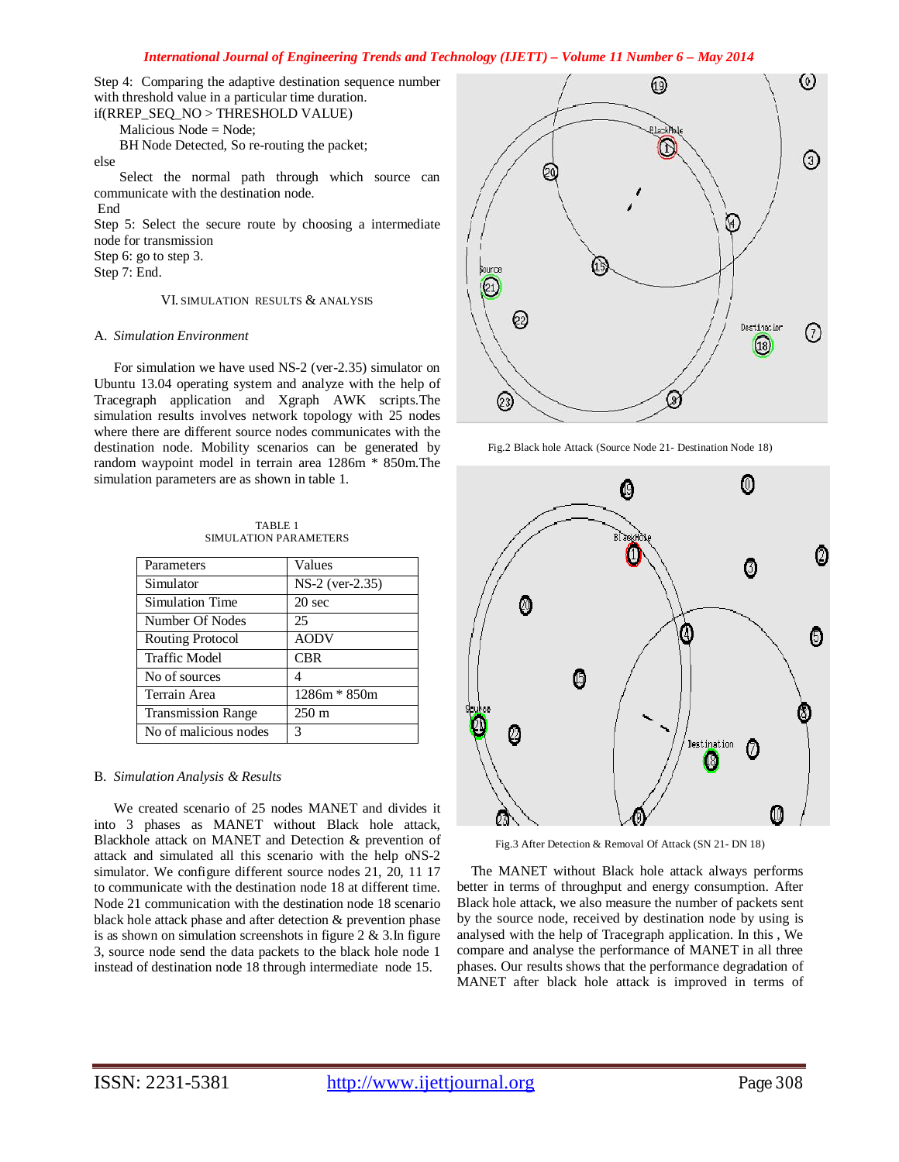# *International Journal of Engineering Trends and Technology (IJETT) – Volume 11 Number 6 – May 2014*

Step 4: Comparing the adaptive destination sequence number with threshold value in a particular time duration. if(RREP\_SEQ\_NO > THRESHOLD VALUE)

Malicious Node = Node;

BH Node Detected, So re-routing the packet;

else

 Select the normal path through which source can communicate with the destination node.

End

Step 5: Select the secure route by choosing a intermediate node for transmission

Step 6: go to step 3.

Step 7: End.

# VI. SIMULATION RESULTS & ANALYSIS

# A. *Simulation Environment*

For simulation we have used NS-2 (ver-2.35) simulator on Ubuntu 13.04 operating system and analyze with the help of Tracegraph application and Xgraph AWK scripts.The simulation results involves network topology with 25 nodes where there are different source nodes communicates with the destination node. Mobility scenarios can be generated by random waypoint model in terrain area 1286m \* 850m.The simulation parameters are as shown in table 1.

| Parameters                | Values            |
|---------------------------|-------------------|
| Simulator                 | $NS-2$ (ver-2.35) |
| Simulation Time           | 20 sec            |
| Number Of Nodes           | 25                |
| Routing Protocol          | <b>AODV</b>       |
| <b>Traffic Model</b>      | <b>CBR</b>        |
| No of sources             | 4                 |
| Terrain Area              | $1286m * 850m$    |
| <b>Transmission Range</b> | $250 \text{ m}$   |
| No of malicious nodes     | 3                 |

# TABLE 1 SIMULATION PARAMETERS

## B. *Simulation Analysis & Results*

We created scenario of 25 nodes MANET and divides it into 3 phases as MANET without Black hole attack, Blackhole attack on MANET and Detection & prevention of attack and simulated all this scenario with the help oNS-2 simulator. We configure different source nodes 21, 20, 11 17 to communicate with the destination node 18 at different time. Node 21 communication with the destination node 18 scenario black hole attack phase and after detection & prevention phase is as shown on simulation screenshots in figure  $2 \& 3$ . In figure 3, source node send the data packets to the black hole node 1 instead of destination node 18 through intermediate node 15.



Fig.2 Black hole Attack (Source Node 21- Destination Node 18)



Fig.3 After Detection & Removal Of Attack (SN 21- DN 18)

 The MANET without Black hole attack always performs better in terms of throughput and energy consumption. After Black hole attack, we also measure the number of packets sent by the source node, received by destination node by using is analysed with the help of Tracegraph application. In this , We compare and analyse the performance of MANET in all three phases. Our results shows that the performance degradation of MANET after black hole attack is improved in terms of